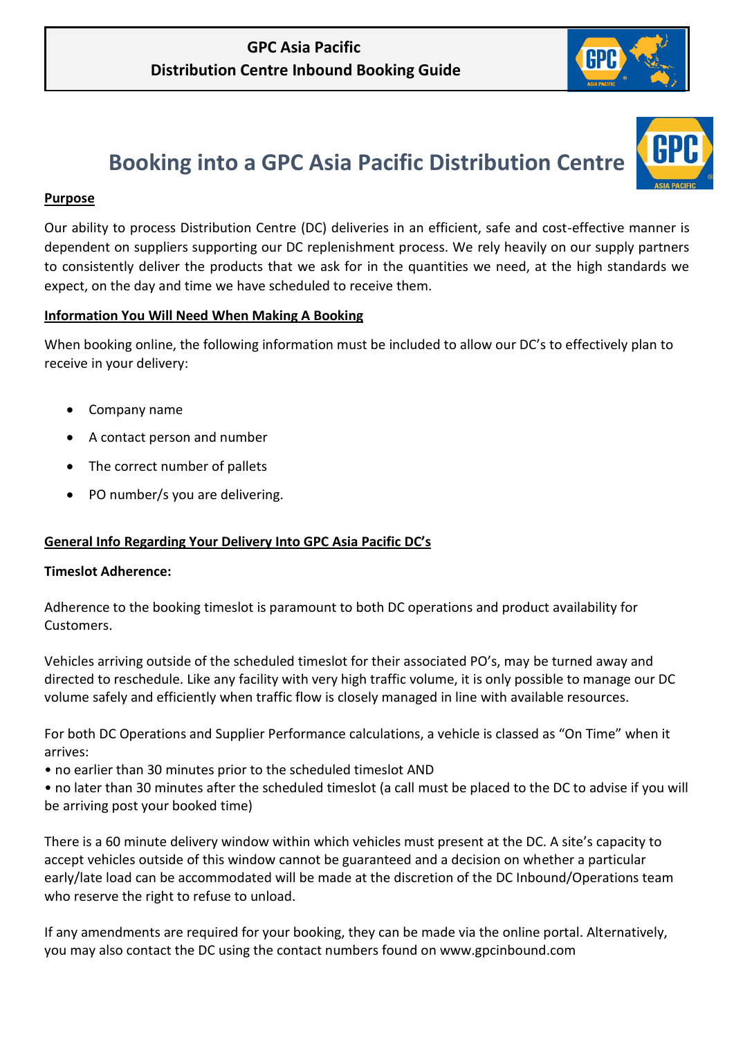

# **Booking into a GPC Asia Pacific Distribution Centre**

#### **Purpose**

Our ability to process Distribution Centre (DC) deliveries in an efficient, safe and cost-effective manner is dependent on suppliers supporting our DC replenishment process. We rely heavily on our supply partners to consistently deliver the products that we ask for in the quantities we need, at the high standards we expect, on the day and time we have scheduled to receive them.

#### **Information You Will Need When Making A Booking**

When booking online, the following information must be included to allow our DC's to effectively plan to receive in your delivery:

- Company name
- A contact person and number
- The correct number of pallets
- PO number/s you are delivering.

### **General Info Regarding Your Delivery Into GPC Asia Pacific DC's**

#### **Timeslot Adherence:**

Adherence to the booking timeslot is paramount to both DC operations and product availability for Customers.

Vehicles arriving outside of the scheduled timeslot for their associated PO's, may be turned away and directed to reschedule. Like any facility with very high traffic volume, it is only possible to manage our DC volume safely and efficiently when traffic flow is closely managed in line with available resources.

For both DC Operations and Supplier Performance calculations, a vehicle is classed as "On Time" when it arrives:

• no earlier than 30 minutes prior to the scheduled timeslot AND

• no later than 30 minutes after the scheduled timeslot (a call must be placed to the DC to advise if you will be arriving post your booked time)

There is a 60 minute delivery window within which vehicles must present at the DC. A site's capacity to accept vehicles outside of this window cannot be guaranteed and a decision on whether a particular early/late load can be accommodated will be made at the discretion of the DC Inbound/Operations team who reserve the right to refuse to unload.

If any amendments are required for your booking, they can be made via the online portal. Alternatively, you may also contact the DC using the contact numbers found on www.gpcinbound.com

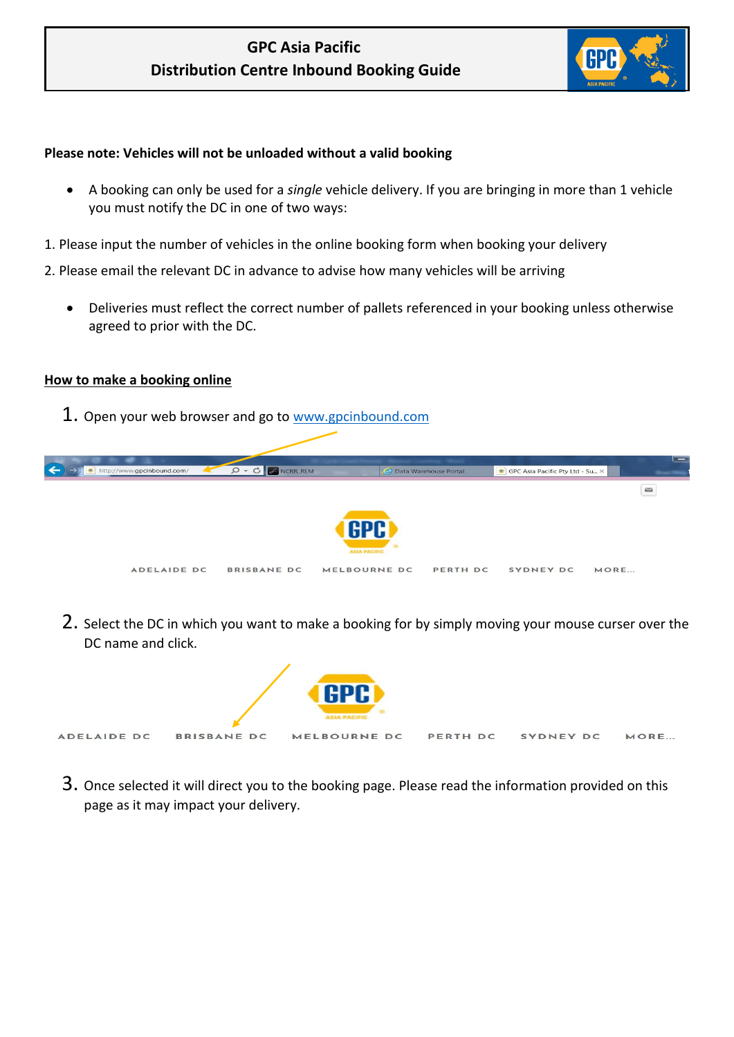

### **Please note: Vehicles will not be unloaded without a valid booking**

- A booking can only be used for a *single* vehicle delivery. If you are bringing in more than 1 vehicle you must notify the DC in one of two ways:
- 1. Please input the number of vehicles in the online booking form when booking your delivery
- 2. Please email the relevant DC in advance to advise how many vehicles will be arriving
	- Deliveries must reflect the correct number of pallets referenced in your booking unless otherwise agreed to prior with the DC.

#### **How to make a booking online**

1. Open your web browser and go t[o www.gpcinbound.com](http://www.gpcinbound.com/)



2. Select the DC in which you want to make a booking for by simply moving your mouse curser over the DC name and click.



3. Once selected it will direct you to the booking page. Please read the information provided on this page as it may impact your delivery.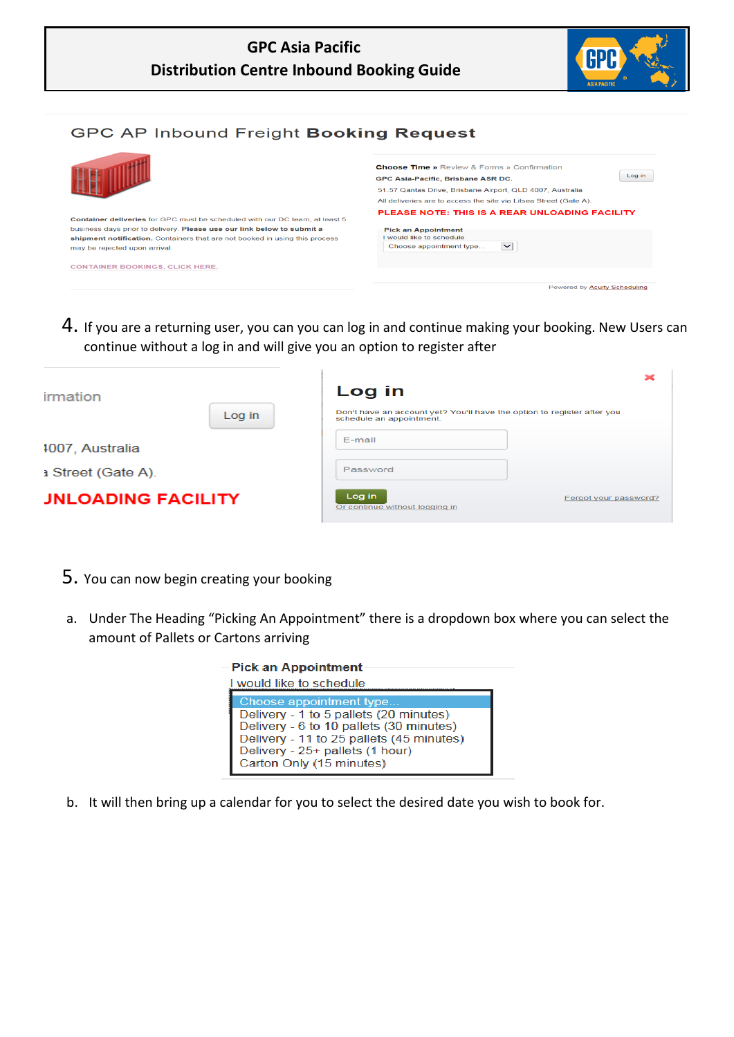

4. If you are a returning user, you can you can log in and continue making your booking. New Users can continue without a log in and will give you an option to register after

| irmation                  |        | $\boldsymbol{\times}$<br>Log in                                                                     |  |
|---------------------------|--------|-----------------------------------------------------------------------------------------------------|--|
|                           | Log in | Don't have an account yet? You'll have the option to register after you<br>schedule an appointment. |  |
| 1007, Australia           |        | E-mail                                                                                              |  |
| a Street (Gate A).        |        | Password                                                                                            |  |
| <b>JNLOADING FACILITY</b> |        | Log in<br>Forgot your password?<br>Or continue without logging in                                   |  |

- 5. You can now begin creating your booking
- a. Under The Heading "Picking An Appointment" there is a dropdown box where you can select the amount of Pallets or Cartons arriving

| <b>Pick an Appointment</b>                                                                                                                                                                   |  |  |
|----------------------------------------------------------------------------------------------------------------------------------------------------------------------------------------------|--|--|
| I would like to schedule                                                                                                                                                                     |  |  |
| Choose appointment type                                                                                                                                                                      |  |  |
| Delivery - 1 to 5 pallets (20 minutes)<br>Delivery - 6 to 10 pallets (30 minutes)<br>Delivery - 11 to 25 pallets (45 minutes)<br>Delivery - 25+ pallets (1 hour)<br>Carton Only (15 minutes) |  |  |

b. It will then bring up a calendar for you to select the desired date you wish to book for.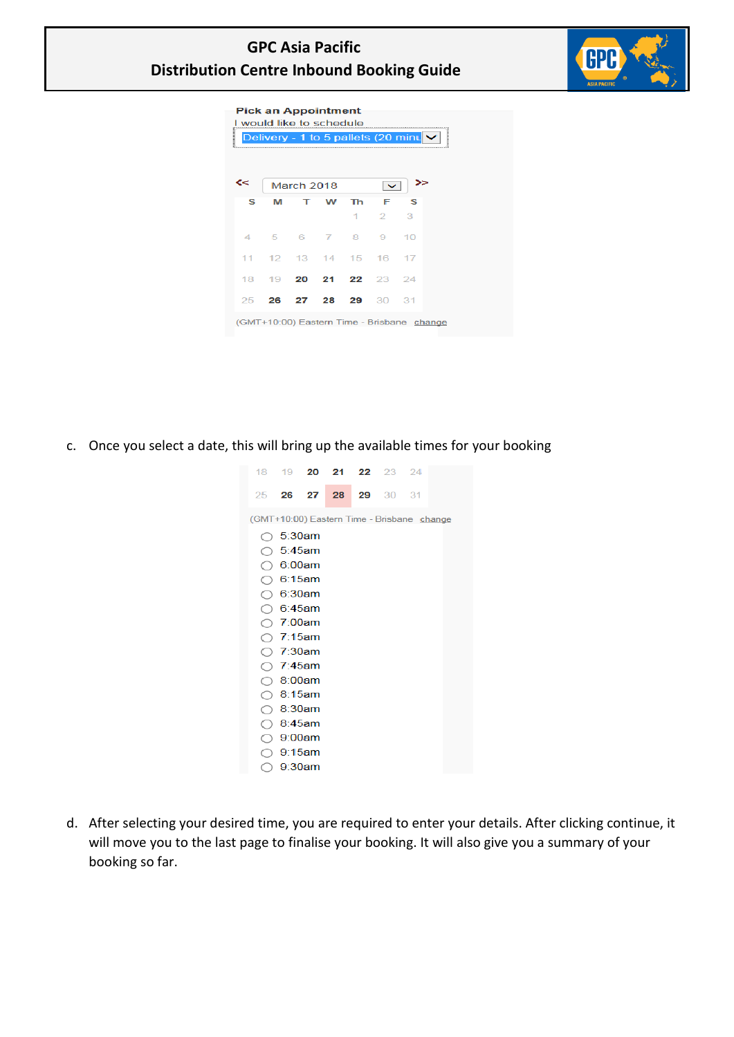

|   | <b>Pick an Appointment</b><br>would like to schedule |    |                   |                                    |    |    |       |  |
|---|------------------------------------------------------|----|-------------------|------------------------------------|----|----|-------|--|
|   |                                                      |    |                   | Delivery - 1 to 5 pallets (20 minu |    |    |       |  |
|   |                                                      |    |                   |                                    |    |    |       |  |
| ~ |                                                      |    | <b>March 2018</b> |                                    |    |    |       |  |
|   | s                                                    | м  | т                 | w                                  | Th | F  | s     |  |
|   |                                                      |    |                   |                                    | 1  | 2  | з     |  |
|   | 4                                                    |    | -6                | $\overline{7}$                     | 8  | -9 | 10    |  |
|   | $11^{-}$                                             |    |                   | 12  13  14  15  16                 |    |    | $-17$ |  |
|   | 18.                                                  |    |                   | 19 <b>20 21 22</b> 23              |    |    | 24    |  |
|   | 25.                                                  | 26 |                   | 27 28 29                           |    | 30 | 31    |  |
|   | (GMT+10:00) Eastern Time - Brisbane change           |    |                   |                                    |    |    |       |  |

c. Once you select a date, this will bring up the available times for your booking



d. After selecting your desired time, you are required to enter your details. After clicking continue, it will move you to the last page to finalise your booking. It will also give you a summary of your booking so far.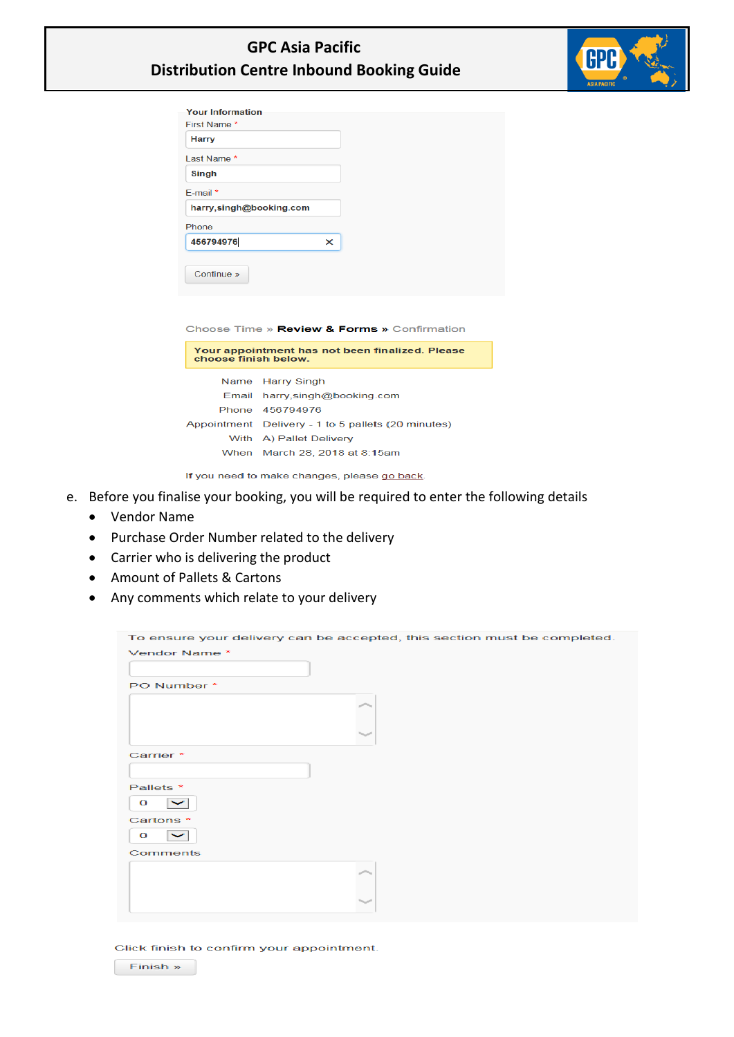

| <b>Harry</b>            |                       |
|-------------------------|-----------------------|
| Last Name *             |                       |
| <b>Singh</b>            |                       |
| $E$ -mail $*$           |                       |
| harry,singh@booking.com |                       |
| Phone                   |                       |
| 456794976               | $\boldsymbol{\times}$ |

Choose Time » Review & Forms » Confirmation

| Your appointment has not been finalized. Please<br>choose finish below |                                                    |  |
|------------------------------------------------------------------------|----------------------------------------------------|--|
|                                                                        | Name Harry Singh                                   |  |
|                                                                        | Email harry, singh@booking.com                     |  |
|                                                                        | Phone 456794976                                    |  |
|                                                                        | Appointment Delivery - 1 to 5 pallets (20 minutes) |  |
|                                                                        | With A) Pallet Delivery                            |  |
|                                                                        | When March 28, 2018 at 8:15am                      |  |
|                                                                        |                                                    |  |

If you need to make changes, please go back.

- e. Before you finalise your booking, you will be required to enter the following details
	- Vendor Name
	- Purchase Order Number related to the delivery
	- Carrier who is delivering the product
	- Amount of Pallets & Cartons
	- Any comments which relate to your delivery

|                      | To ensure your delivery can be accepted, this section must be completed. |
|----------------------|--------------------------------------------------------------------------|
| Vendor Name*         |                                                                          |
|                      |                                                                          |
| PO Number *          |                                                                          |
|                      |                                                                          |
|                      |                                                                          |
|                      |                                                                          |
|                      |                                                                          |
| Carrier <sup>*</sup> |                                                                          |
|                      |                                                                          |
| Pallets <sup>*</sup> |                                                                          |
| О                    |                                                                          |
| Cartons <sup>*</sup> |                                                                          |
| О                    |                                                                          |
| <b>Comments</b>      |                                                                          |
|                      |                                                                          |
|                      |                                                                          |
|                      |                                                                          |
|                      |                                                                          |

Click finish to confirm your appointment.

Finish  $\ast$